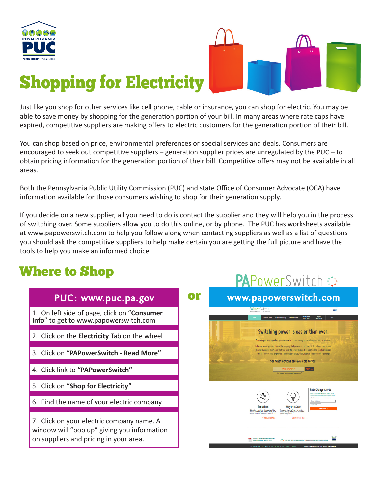



PAPOWArSwitch:

# Shopping for Electricity

Just like you shop for other services like cell phone, cable or insurance, you can shop for electric. You may be able to save money by shopping for the generation portion of your bill. In many areas where rate caps have expired, competitive suppliers are making offers to electric customers for the generation portion of their bill.

You can shop based on price, environmental preferences or special services and deals. Consumers are encouraged to seek out competitive suppliers – generation supplier prices are unregulated by the PUC – to obtain pricing information for the generation portion of their bill. Competitive offers may not be available in all areas.

Both the Pennsylvania Public Utility Commission (PUC) and state Office of Consumer Advocate (OCA) have information available for those consumers wishing to shop for their generation supply.

If you decide on a new supplier, all you need to do is contact the supplier and they will help you in the process of switching over. Some suppliers allow you to do this online, or by phone. The PUC has worksheets available at www.papowerswitch.com to help you follow along when contacting suppliers as well as a list of questions you should ask the competitive suppliers to help make certain you are getting the full picture and have the tools to help you make an informed choice.

# Where to Shop

|                                                                                                                                    |    | 1                                                                                                                                                                                                                                                                                                                                               |
|------------------------------------------------------------------------------------------------------------------------------------|----|-------------------------------------------------------------------------------------------------------------------------------------------------------------------------------------------------------------------------------------------------------------------------------------------------------------------------------------------------|
| PUC: www.puc.pa.gov                                                                                                                | Oľ | www.papowerswitch.com                                                                                                                                                                                                                                                                                                                           |
| 1. On left side of page, click on "Consumer<br>Info" to get to www.papowerswitch.com                                               |    | <b>PAPowerSwitch C</b><br>日間<br>Pennsylvania Fubbe Utility Commission<br>Tour Rights &<br>Ways to<br>Save Eners<br>FAQs<br>Shop For Electricity   Fixed & Verisble<br>Switching power is easier than ever.<br>Depending on where you live, you may be able to save money by switching your electric supplier.                                   |
| 2. Click on the Electricity Tab on the wheel                                                                                       |    |                                                                                                                                                                                                                                                                                                                                                 |
| 3. Click on "PAPowerSwitch - Read More"                                                                                            |    | In Pennsylvania, you can choose the company that generates your electricity - also known as your<br>electric supplier. This means that you have the power to switch to a competing supplier who can<br>offer the lowest price or provide a specific service you want, such as green/renewable energy.<br>See what options are available to you! |
| 4. Click link to "PAPowerSwitch"                                                                                                   |    | <b>ZIP CODE</b><br>Are you a commercial customer'                                                                                                                                                                                                                                                                                               |
| 5. Click on "Shop for Electricity"                                                                                                 |    | <b>Rate Change Alerts</b><br>Sign up to receive email alerts whe<br>residential rates change in your area                                                                                                                                                                                                                                       |
| 6. Find the name of your electric company                                                                                          |    | <b>First Name</b><br>Last Name<br>Email Addres<br>Zip Code<br>Education<br><b>Ways to Save</b><br>Subscribe »<br>Educate vourself on all aspects of the<br>There are plenty of ways to continue.<br>wer-ewitching experience here, from<br>saying money after you've switched<br>ity to eartch to what questions to ask.<br>power companies     |
| 7. Click on your electric company name. A<br>window will "pop up" giving you information<br>on suppliers and pricing in your area. |    | Learn How to Save »<br><b>Get Educated May</b><br>179 Cent find what you are looking for? Check out our Frequently Asked Question                                                                                                                                                                                                               |